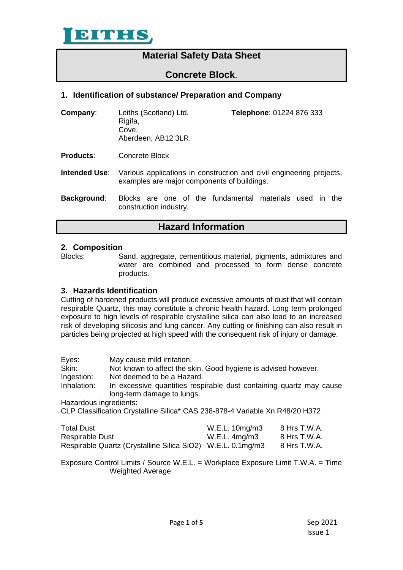

# **Material Safety Data Sheet**

# **Concrete Block**.

# **1. Identification of substance/ Preparation and Company**

**Company**: Leiths (Scotland) Ltd. **Telephone**: 01224 876 333 Rigifa, Cove, Aberdeen, AB12 3LR.

**Products**: Concrete Block

- **Intended Use**: Various applications in construction and civil engineering projects, examples are major components of buildings.
- **Background**: Blocks are one of the fundamental materials used in the construction industry.

# **Hazard Information**

#### **2. Composition**

Blocks: Sand, aggregate, cementitious material, pigments, admixtures and water are combined and processed to form dense concrete products.

## **3. Hazards Identification**

Cutting of hardened products will produce excessive amounts of dust that will contain respirable Quartz, this may constitute a chronic health hazard. Long term prolonged exposure to high levels of respirable crystalline silica can also lead to an increased risk of developing silicosis and lung cancer. Any cutting or finishing can also result in particles being projected at high speed with the consequent risk of injury or damage.

| Eyes:<br>Skin:<br>Ingestion:<br>Inhalation: | May cause mild irritation.<br>Not known to affect the skin. Good hygiene is advised however.<br>Not deemed to be a Hazard.<br>In excessive quantities respirable dust containing quartz may cause<br>long-term damage to lungs.<br>Hazardous ingredients:<br>CLP Classification Crystalline Silica* CAS 238-878-4 Variable Xn R48/20 H372 |                                                      |                                              |  |
|---------------------------------------------|-------------------------------------------------------------------------------------------------------------------------------------------------------------------------------------------------------------------------------------------------------------------------------------------------------------------------------------------|------------------------------------------------------|----------------------------------------------|--|
| Total Dust<br><b>Respirable Dust</b>        | Respirable Quartz (Crystalline Silica SiO2)                                                                                                                                                                                                                                                                                               | W.E.L. 10mg/m3<br>$W.E.L.$ 4mg/m3<br>W.E.L. 0.1mg/m3 | 8 Hrs T.W.A.<br>8 Hrs T.W.A.<br>8 Hrs T.W.A. |  |

Exposure Control Limits / Source W.E.L. = Workplace Exposure Limit T.W.A. = Time Weighted Average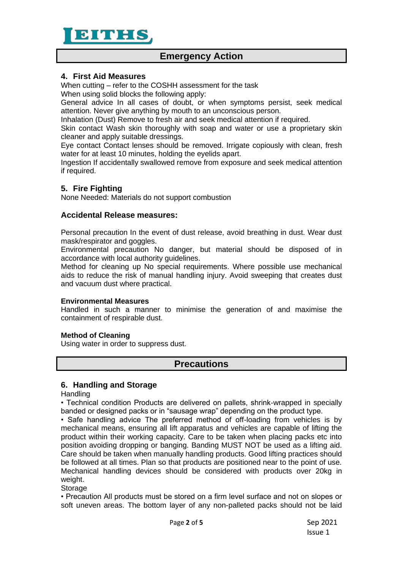

# **Emergency Action**

## **4. First Aid Measures**

When cutting – refer to the COSHH assessment for the task

When using solid blocks the following apply:

General advice In all cases of doubt, or when symptoms persist, seek medical attention. Never give anything by mouth to an unconscious person.

Inhalation (Dust) Remove to fresh air and seek medical attention if required.

Skin contact Wash skin thoroughly with soap and water or use a proprietary skin cleaner and apply suitable dressings.

Eye contact Contact lenses should be removed. Irrigate copiously with clean, fresh water for at least 10 minutes, holding the eyelids apart.

Ingestion If accidentally swallowed remove from exposure and seek medical attention if required.

# **5. Fire Fighting**

None Needed: Materials do not support combustion

## **Accidental Release measures:**

Personal precaution In the event of dust release, avoid breathing in dust. Wear dust mask/respirator and goggles.

Environmental precaution No danger, but material should be disposed of in accordance with local authority guidelines.

Method for cleaning up No special requirements. Where possible use mechanical aids to reduce the risk of manual handling injury. Avoid sweeping that creates dust and vacuum dust where practical.

#### **Environmental Measures**

Handled in such a manner to minimise the generation of and maximise the containment of respirable dust.

#### **Method of Cleaning**

Using water in order to suppress dust.

# **Precautions**

# **6. Handling and Storage**

**Handling** 

• Technical condition Products are delivered on pallets, shrink-wrapped in specially banded or designed packs or in "sausage wrap" depending on the product type.

• Safe handling advice The preferred method of off-loading from vehicles is by mechanical means, ensuring all lift apparatus and vehicles are capable of lifting the product within their working capacity. Care to be taken when placing packs etc into position avoiding dropping or banging. Banding MUST NOT be used as a lifting aid. Care should be taken when manually handling products. Good lifting practices should be followed at all times. Plan so that products are positioned near to the point of use. Mechanical handling devices should be considered with products over 20kg in weight.

**Storage** 

• Precaution All products must be stored on a firm level surface and not on slopes or soft uneven areas. The bottom layer of any non-palleted packs should not be laid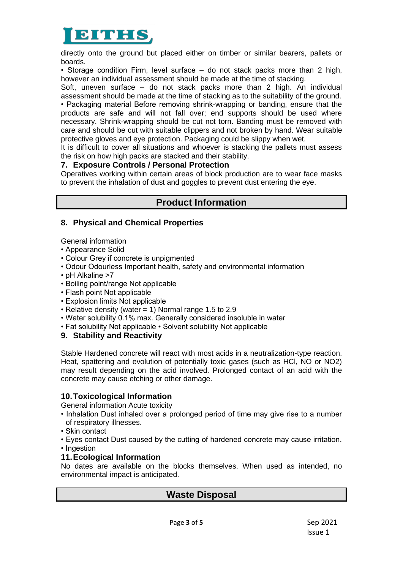

directly onto the ground but placed either on timber or similar bearers, pallets or boards.

• Storage condition Firm, level surface – do not stack packs more than 2 high, however an individual assessment should be made at the time of stacking.

Soft, uneven surface – do not stack packs more than 2 high. An individual assessment should be made at the time of stacking as to the suitability of the ground. • Packaging material Before removing shrink-wrapping or banding, ensure that the products are safe and will not fall over; end supports should be used where necessary. Shrink-wrapping should be cut not torn. Banding must be removed with care and should be cut with suitable clippers and not broken by hand. Wear suitable protective gloves and eye protection. Packaging could be slippy when wet.

It is difficult to cover all situations and whoever is stacking the pallets must assess the risk on how high packs are stacked and their stability.

## **7. Exposure Controls / Personal Protection**

Operatives working within certain areas of block production are to wear face masks to prevent the inhalation of dust and goggles to prevent dust entering the eye.

# **Product Information**

# **8. Physical and Chemical Properties**

General information

• Appearance Solid

- Colour Grey if concrete is unpigmented
- Odour Odourless Important health, safety and environmental information
- pH Alkaline >7
- Boiling point/range Not applicable
- Flash point Not applicable
- Explosion limits Not applicable
- Relative density (water = 1) Normal range 1.5 to 2.9
- Water solubility 0.1% max. Generally considered insoluble in water
- Fat solubility Not applicable Solvent solubility Not applicable

## **9. Stability and Reactivity**

Stable Hardened concrete will react with most acids in a neutralization-type reaction. Heat, spattering and evolution of potentially toxic gases (such as HCl, NO or NO2) may result depending on the acid involved. Prolonged contact of an acid with the concrete may cause etching or other damage.

# **10.Toxicological Information**

General information Acute toxicity

- Inhalation Dust inhaled over a prolonged period of time may give rise to a number of respiratory illnesses.
- Skin contact
- Eyes contact Dust caused by the cutting of hardened concrete may cause irritation.
- Ingestion

## **11.Ecological Information**

No dates are available on the blocks themselves. When used as intended, no environmental impact is anticipated.

# **Waste Disposal**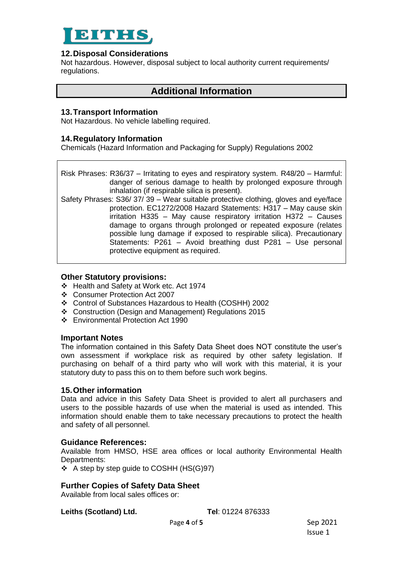

## **12.Disposal Considerations**

Not hazardous. However, disposal subject to local authority current requirements/ regulations.

# **Additional Information**

# **13.Transport Information**

Not Hazardous. No vehicle labelling required.

# **14.Regulatory Information**

Chemicals (Hazard Information and Packaging for Supply) Regulations 2002

Risk Phrases: R36/37 – Irritating to eyes and respiratory system. R48/20 – Harmful: danger of serious damage to health by prolonged exposure through inhalation (if respirable silica is present).

Safety Phrases: S36/ 37/ 39 – Wear suitable protective clothing, gloves and eye/face protection. EC1272/2008 Hazard Statements: H317 – May cause skin irritation H335 – May cause respiratory irritation H372 – Causes damage to organs through prolonged or repeated exposure (relates possible lung damage if exposed to respirable silica). Precautionary Statements: P261 – Avoid breathing dust P281 – Use personal protective equipment as required.

## **Other Statutory provisions:**

- ❖ Health and Safety at Work etc. Act 1974
- ❖ Consumer Protection Act 2007
- ❖ Control of Substances Hazardous to Health (COSHH) 2002
- ❖ Construction (Design and Management) Regulations 2015
- ❖ Environmental Protection Act 1990

## **Important Notes**

The information contained in this Safety Data Sheet does NOT constitute the user's own assessment if workplace risk as required by other safety legislation. If purchasing on behalf of a third party who will work with this material, it is your statutory duty to pass this on to them before such work begins.

## **15.Other information**

Data and advice in this Safety Data Sheet is provided to alert all purchasers and users to the possible hazards of use when the material is used as intended. This information should enable them to take necessary precautions to protect the health and safety of all personnel.

## **Guidance References:**

Available from HMSO, HSE area offices or local authority Environmental Health Departments:

❖ A step by step guide to COSHH (HS(G)97)

## **Further Copies of Safety Data Sheet**

Available from local sales offices or:

**Leiths (Scotland) Ltd. Tel**: 01224 876333